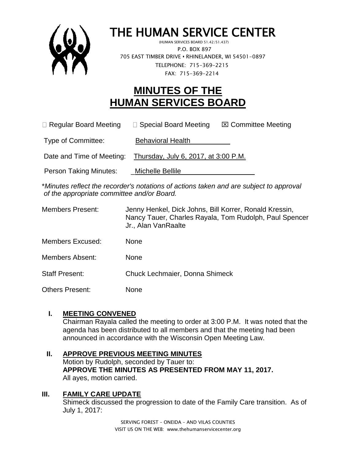

# THE HUMAN SERVICE CENTER

 (HUMAN SERVICES BOARD 51.42/51.437) P.O. BOX 897 705 EAST TIMBER DRIVE **•** RHINELANDER, WI 54501-0897 TELEPHONE: 715-369-2215 FAX: 715-369-2214

# **MINUTES OF THE HUMAN SERVICES BOARD**

 $\Box$  Regular Board Meeting  $\Box$  Special Board Meeting  $\Box$  Committee Meeting

Type of Committee: Behavioral Health

Date and Time of Meeting: Thursday, July 6, 2017, at 3:00 P.M.

Person Taking Minutes: \_\_\_\_Michelle Bellile

\**Minutes reflect the recorder's notations of actions taken and are subject to approval of the appropriate committee and/or Board.*

| <b>Members Present:</b> | Jenny Henkel, Dick Johns, Bill Korrer, Ronald Kressin,<br>Nancy Tauer, Charles Rayala, Tom Rudolph, Paul Spencer<br>Jr., Alan VanRaalte |
|-------------------------|-----------------------------------------------------------------------------------------------------------------------------------------|
| Members Excused:        | None                                                                                                                                    |
| Members Absent:         | None                                                                                                                                    |
| <b>Staff Present:</b>   | Chuck Lechmaier, Donna Shimeck                                                                                                          |
| Others Present:         | None                                                                                                                                    |

# **I. MEETING CONVENED**

Chairman Rayala called the meeting to order at 3:00 P.M. It was noted that the agenda has been distributed to all members and that the meeting had been announced in accordance with the Wisconsin Open Meeting Law.

# **II. APPROVE PREVIOUS MEETING MINUTES**

Motion by Rudolph, seconded by Tauer to: **APPROVE THE MINUTES AS PRESENTED FROM MAY 11, 2017.** All ayes, motion carried.

# **III. FAMILY CARE UPDATE**

Shimeck discussed the progression to date of the Family Care transition. As of July 1, 2017: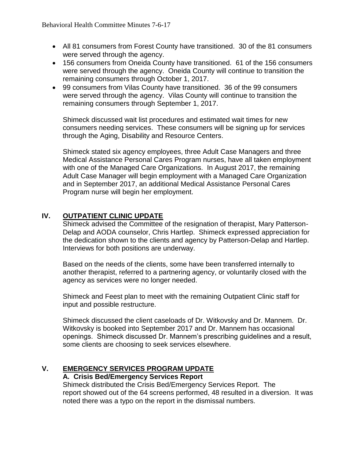- All 81 consumers from Forest County have transitioned. 30 of the 81 consumers were served through the agency.
- 156 consumers from Oneida County have transitioned. 61 of the 156 consumers were served through the agency. Oneida County will continue to transition the remaining consumers through October 1, 2017.
- 99 consumers from Vilas County have transitioned. 36 of the 99 consumers were served through the agency. Vilas County will continue to transition the remaining consumers through September 1, 2017.

Shimeck discussed wait list procedures and estimated wait times for new consumers needing services. These consumers will be signing up for services through the Aging, Disability and Resource Centers.

Shimeck stated six agency employees, three Adult Case Managers and three Medical Assistance Personal Cares Program nurses, have all taken employment with one of the Managed Care Organizations. In August 2017, the remaining Adult Case Manager will begin employment with a Managed Care Organization and in September 2017, an additional Medical Assistance Personal Cares Program nurse will begin her employment.

# **IV. OUTPATIENT CLINIC UPDATE**

Shimeck advised the Committee of the resignation of therapist, Mary Patterson-Delap and AODA counselor, Chris Hartlep. Shimeck expressed appreciation for the dedication shown to the clients and agency by Patterson-Delap and Hartlep. Interviews for both positions are underway.

Based on the needs of the clients, some have been transferred internally to another therapist, referred to a partnering agency, or voluntarily closed with the agency as services were no longer needed.

Shimeck and Feest plan to meet with the remaining Outpatient Clinic staff for input and possible restructure.

Shimeck discussed the client caseloads of Dr. Witkovsky and Dr. Mannem. Dr. Witkovsky is booked into September 2017 and Dr. Mannem has occasional openings. Shimeck discussed Dr. Mannem's prescribing guidelines and a result, some clients are choosing to seek services elsewhere.

# **V. EMERGENCY SERVICES PROGRAM UPDATE**

# **A. Crisis Bed/Emergency Services Report**

Shimeck distributed the Crisis Bed/Emergency Services Report. The report showed out of the 64 screens performed, 48 resulted in a diversion. It was noted there was a typo on the report in the dismissal numbers.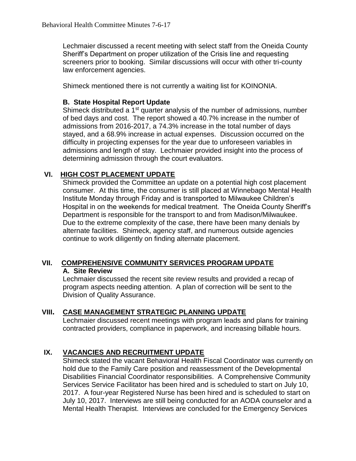Lechmaier discussed a recent meeting with select staff from the Oneida County Sheriff's Department on proper utilization of the Crisis line and requesting screeners prior to booking. Similar discussions will occur with other tri-county law enforcement agencies.

Shimeck mentioned there is not currently a waiting list for KOINONIA.

#### **B. State Hospital Report Update**

Shimeck distributed a 1<sup>st</sup> quarter analysis of the number of admissions, number of bed days and cost. The report showed a 40.7% increase in the number of admissions from 2016-2017, a 74.3% increase in the total number of days stayed, and a 68.9% increase in actual expenses. Discussion occurred on the difficulty in projecting expenses for the year due to unforeseen variables in admissions and length of stay. Lechmaier provided insight into the process of determining admission through the court evaluators.

# **VI. HIGH COST PLACEMENT UPDATE**

Shimeck provided the Committee an update on a potential high cost placement consumer. At this time, the consumer is still placed at Winnebago Mental Health Institute Monday through Friday and is transported to Milwaukee Children's Hospital in on the weekends for medical treatment. The Oneida County Sheriff's Department is responsible for the transport to and from Madison/Milwaukee. Due to the extreme complexity of the case, there have been many denials by alternate facilities. Shimeck, agency staff, and numerous outside agencies continue to work diligently on finding alternate placement.

#### **VII. COMPREHENSIVE COMMUNITY SERVICES PROGRAM UPDATE A. Site Review**

Lechmaier discussed the recent site review results and provided a recap of program aspects needing attention. A plan of correction will be sent to the Division of Quality Assurance.

#### **VIII. CASE MANAGEMENT STRATEGIC PLANNING UPDATE**

Lechmaier discussed recent meetings with program leads and plans for training contracted providers, compliance in paperwork, and increasing billable hours.

# **IX. VACANCIES AND RECRUITMENT UPDATE**

Shimeck stated the vacant Behavioral Health Fiscal Coordinator was currently on hold due to the Family Care position and reassessment of the Developmental Disabilities Financial Coordinator responsibilities. A Comprehensive Community Services Service Facilitator has been hired and is scheduled to start on July 10, 2017. A four-year Registered Nurse has been hired and is scheduled to start on July 10, 2017. Interviews are still being conducted for an AODA counselor and a Mental Health Therapist. Interviews are concluded for the Emergency Services